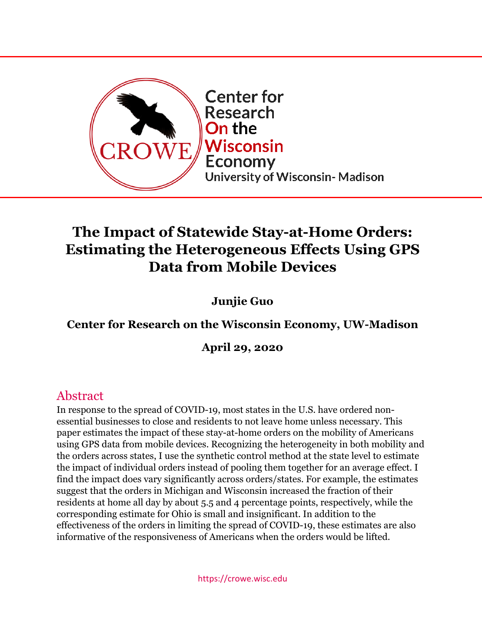

# **The Impact of Statewide Stay-at-Home Orders: Estimating the Heterogeneous Effects Using GPS Data from Mobile Devices**

**Junjie Guo**

## **Center for Research on the Wisconsin Economy, UW-Madison**

**April 29, 2020**

# Abstract

In response to the spread of COVID-19, most states in the U.S. have ordered nonessential businesses to close and residents to not leave home unless necessary. This paper estimates the impact of these stay-at-home orders on the mobility of Americans using GPS data from mobile devices. Recognizing the heterogeneity in both mobility and the orders across states, I use the synthetic control method at the state level to estimate the impact of individual orders instead of pooling them together for an average effect. I find the impact does vary significantly across orders/states. For example, the estimates suggest that the orders in Michigan and Wisconsin increased the fraction of their residents at home all day by about 5.5 and 4 percentage points, respectively, while the corresponding estimate for Ohio is small and insignificant. In addition to the effectiveness of the orders in limiting the spread of COVID-19, these estimates are also informative of the responsiveness of Americans when the orders would be lifted.

https://crowe.wisc.edu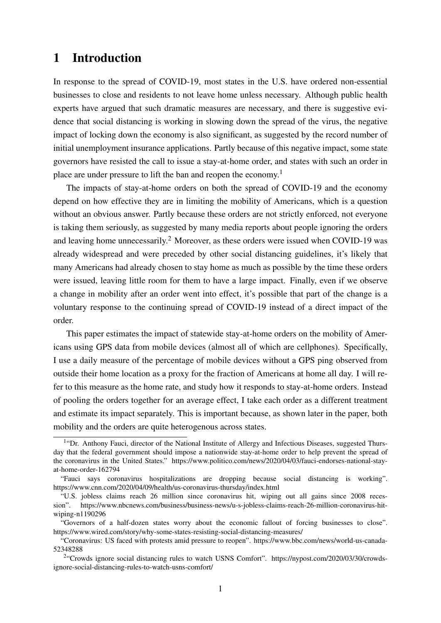### 1 Introduction

In response to the spread of COVID-19, most states in the U.S. have ordered non-essential businesses to close and residents to not leave home unless necessary. Although public health experts have argued that such dramatic measures are necessary, and there is suggestive evidence that social distancing is working in slowing down the spread of the virus, the negative impact of locking down the economy is also significant, as suggested by the record number of initial unemployment insurance applications. Partly because of this negative impact, some state governors have resisted the call to issue a stay-at-home order, and states with such an order in place are under pressure to lift the ban and reopen the economy.<sup>1</sup>

The impacts of stay-at-home orders on both the spread of COVID-19 and the economy depend on how effective they are in limiting the mobility of Americans, which is a question without an obvious answer. Partly because these orders are not strictly enforced, not everyone is taking them seriously, as suggested by many media reports about people ignoring the orders and leaving home unnecessarily.<sup>2</sup> Moreover, as these orders were issued when COVID-19 was already widespread and were preceded by other social distancing guidelines, it's likely that many Americans had already chosen to stay home as much as possible by the time these orders were issued, leaving little room for them to have a large impact. Finally, even if we observe a change in mobility after an order went into effect, it's possible that part of the change is a voluntary response to the continuing spread of COVID-19 instead of a direct impact of the order.

This paper estimates the impact of statewide stay-at-home orders on the mobility of Americans using GPS data from mobile devices (almost all of which are cellphones). Specifically, I use a daily measure of the percentage of mobile devices without a GPS ping observed from outside their home location as a proxy for the fraction of Americans at home all day. I will refer to this measure as the home rate, and study how it responds to stay-at-home orders. Instead of pooling the orders together for an average effect, I take each order as a different treatment and estimate its impact separately. This is important because, as shown later in the paper, both mobility and the orders are quite heterogenous across states.

<sup>&</sup>lt;sup>1</sup>"Dr. Anthony Fauci, director of the National Institute of Allergy and Infectious Diseases, suggested Thursday that the federal government should impose a nationwide stay-at-home order to help prevent the spread of the coronavirus in the United States." https://www.politico.com/news/2020/04/03/fauci-endorses-national-stayat-home-order-162794

<sup>&</sup>quot;Fauci says coronavirus hospitalizations are dropping because social distancing is working". https://www.cnn.com/2020/04/09/health/us-coronavirus-thursday/index.html

<sup>&</sup>quot;U.S. jobless claims reach 26 million since coronavirus hit, wiping out all gains since 2008 recession". https://www.nbcnews.com/business/business-news/u-s-jobless-claims-reach-26-million-coronavirus-hitwiping-n1190296

<sup>&</sup>quot;Governors of a half-dozen states worry about the economic fallout of forcing businesses to close". https://www.wired.com/story/why-some-states-resisting-social-distancing-measures/

<sup>&</sup>quot;Coronavirus: US faced with protests amid pressure to reopen". https://www.bbc.com/news/world-us-canada-52348288

<sup>&</sup>lt;sup>2</sup>"Crowds ignore social distancing rules to watch USNS Comfort". https://nypost.com/2020/03/30/crowdsignore-social-distancing-rules-to-watch-usns-comfort/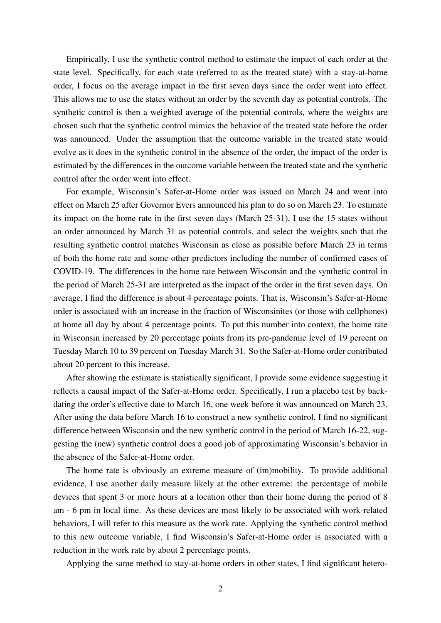Empirically, I use the synthetic control method to estimate the impact of each order at the state level. Specifically, for each state (referred to as the treated state) with a stay-at-home order, I focus on the average impact in the first seven days since the order went into effect. This allows me to use the states without an order by the seventh day as potential controls. The synthetic control is then a weighted average of the potential controls, where the weights are chosen such that the synthetic control mimics the behavior of the treated state before the order was announced. Under the assumption that the outcome variable in the treated state would evolve as it does in the synthetic control in the absence of the order, the impact of the order is estimated by the differences in the outcome variable between the treated state and the synthetic control after the order went into effect.

For example, Wisconsin's Safer-at-Home order was issued on March 24 and went into effect on March 25 after Governor Evers announced his plan to do so on March 23. To estimate its impact on the home rate in the first seven days (March 25-31), I use the 15 states without an order announced by March 31 as potential controls, and select the weights such that the resulting synthetic control matches Wisconsin as close as possible before March 23 in terms of both the home rate and some other predictors including the number of confirmed cases of COVID-19. The differences in the home rate between Wisconsin and the synthetic control in the period of March 25-31 are interpreted as the impact of the order in the first seven days. On average, I find the difference is about 4 percentage points. That is, Wisconsin's Safer-at-Home order is associated with an increase in the fraction of Wisconsinites (or those with cellphones) at home all day by about 4 percentage points. To put this number into context, the home rate in Wisconsin increased by 20 percentage points from its pre-pandemic level of 19 percent on Tuesday March 10 to 39 percent on Tuesday March 31. So the Safer-at-Home order contributed about 20 percent to this increase.

After showing the estimate is statistically significant, I provide some evidence suggesting it reflects a causal impact of the Safer-at-Home order. Specifically, I run a placebo test by backdating the order's effective date to March 16, one week before it was announced on March 23. After using the data before March 16 to construct a new synthetic control, I find no significant difference between Wisconsin and the new synthetic control in the period of March 16-22, suggesting the (new) synthetic control does a good job of approximating Wisconsin's behavior in the absence of the Safer-at-Home order.

The home rate is obviously an extreme measure of (im)mobility. To provide additional evidence, I use another daily measure likely at the other extreme: the percentage of mobile devices that spent 3 or more hours at a location other than their home during the period of 8 am - 6 pm in local time. As these devices are most likely to be associated with work-related behaviors, I will refer to this measure as the work rate. Applying the synthetic control method to this new outcome variable, I find Wisconsin's Safer-at-Home order is associated with a reduction in the work rate by about 2 percentage points.

Applying the same method to stay-at-home orders in other states, I find significant hetero-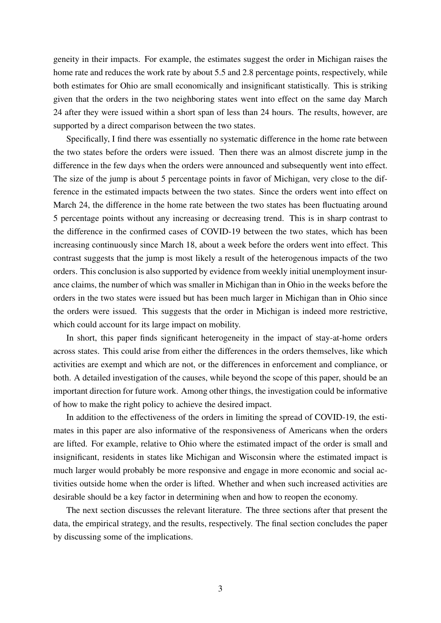geneity in their impacts. For example, the estimates suggest the order in Michigan raises the home rate and reduces the work rate by about 5.5 and 2.8 percentage points, respectively, while both estimates for Ohio are small economically and insignificant statistically. This is striking given that the orders in the two neighboring states went into effect on the same day March 24 after they were issued within a short span of less than 24 hours. The results, however, are supported by a direct comparison between the two states.

Specifically, I find there was essentially no systematic difference in the home rate between the two states before the orders were issued. Then there was an almost discrete jump in the difference in the few days when the orders were announced and subsequently went into effect. The size of the jump is about 5 percentage points in favor of Michigan, very close to the difference in the estimated impacts between the two states. Since the orders went into effect on March 24, the difference in the home rate between the two states has been fluctuating around 5 percentage points without any increasing or decreasing trend. This is in sharp contrast to the difference in the confirmed cases of COVID-19 between the two states, which has been increasing continuously since March 18, about a week before the orders went into effect. This contrast suggests that the jump is most likely a result of the heterogenous impacts of the two orders. This conclusion is also supported by evidence from weekly initial unemployment insurance claims, the number of which was smaller in Michigan than in Ohio in the weeks before the orders in the two states were issued but has been much larger in Michigan than in Ohio since the orders were issued. This suggests that the order in Michigan is indeed more restrictive, which could account for its large impact on mobility.

In short, this paper finds significant heterogeneity in the impact of stay-at-home orders across states. This could arise from either the differences in the orders themselves, like which activities are exempt and which are not, or the differences in enforcement and compliance, or both. A detailed investigation of the causes, while beyond the scope of this paper, should be an important direction for future work. Among other things, the investigation could be informative of how to make the right policy to achieve the desired impact.

In addition to the effectiveness of the orders in limiting the spread of COVID-19, the estimates in this paper are also informative of the responsiveness of Americans when the orders are lifted. For example, relative to Ohio where the estimated impact of the order is small and insignificant, residents in states like Michigan and Wisconsin where the estimated impact is much larger would probably be more responsive and engage in more economic and social activities outside home when the order is lifted. Whether and when such increased activities are desirable should be a key factor in determining when and how to reopen the economy.

The next section discusses the relevant literature. The three sections after that present the data, the empirical strategy, and the results, respectively. The final section concludes the paper by discussing some of the implications.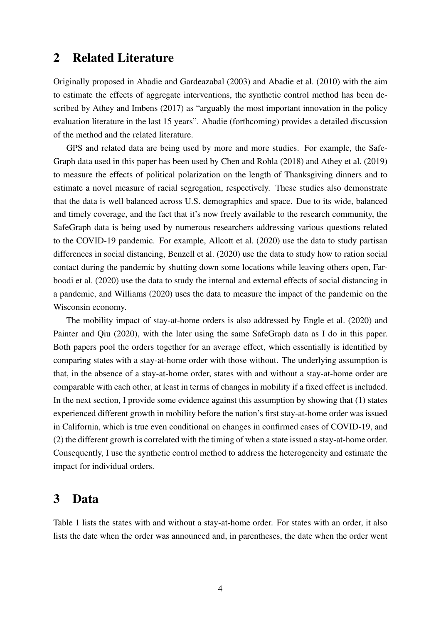### 2 Related Literature

Originally proposed in Abadie and Gardeazabal (2003) and Abadie et al. (2010) with the aim to estimate the effects of aggregate interventions, the synthetic control method has been described by Athey and Imbens (2017) as "arguably the most important innovation in the policy evaluation literature in the last 15 years". Abadie (forthcoming) provides a detailed discussion of the method and the related literature.

GPS and related data are being used by more and more studies. For example, the Safe-Graph data used in this paper has been used by Chen and Rohla (2018) and Athey et al. (2019) to measure the effects of political polarization on the length of Thanksgiving dinners and to estimate a novel measure of racial segregation, respectively. These studies also demonstrate that the data is well balanced across U.S. demographics and space. Due to its wide, balanced and timely coverage, and the fact that it's now freely available to the research community, the SafeGraph data is being used by numerous researchers addressing various questions related to the COVID-19 pandemic. For example, Allcott et al. (2020) use the data to study partisan differences in social distancing, Benzell et al. (2020) use the data to study how to ration social contact during the pandemic by shutting down some locations while leaving others open, Farboodi et al. (2020) use the data to study the internal and external effects of social distancing in a pandemic, and Williams (2020) uses the data to measure the impact of the pandemic on the Wisconsin economy.

The mobility impact of stay-at-home orders is also addressed by Engle et al. (2020) and Painter and Qiu (2020), with the later using the same SafeGraph data as I do in this paper. Both papers pool the orders together for an average effect, which essentially is identified by comparing states with a stay-at-home order with those without. The underlying assumption is that, in the absence of a stay-at-home order, states with and without a stay-at-home order are comparable with each other, at least in terms of changes in mobility if a fixed effect is included. In the next section, I provide some evidence against this assumption by showing that (1) states experienced different growth in mobility before the nation's first stay-at-home order was issued in California, which is true even conditional on changes in confirmed cases of COVID-19, and (2) the different growth is correlated with the timing of when a state issued a stay-at-home order. Consequently, I use the synthetic control method to address the heterogeneity and estimate the impact for individual orders.

### 3 Data

Table 1 lists the states with and without a stay-at-home order. For states with an order, it also lists the date when the order was announced and, in parentheses, the date when the order went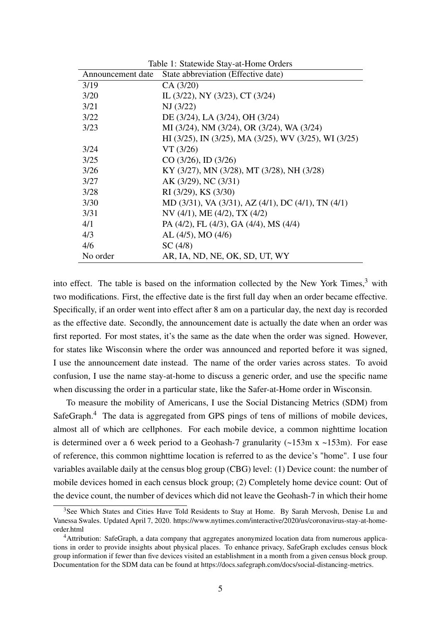| Announcement date | State abbreviation (Effective date)                   |
|-------------------|-------------------------------------------------------|
| 3/19              | CA(3/20)                                              |
| 3/20              | IL (3/22), NY (3/23), CT (3/24)                       |
| 3/21              | NJ (3/22)                                             |
| 3/22              | DE (3/24), LA (3/24), OH (3/24)                       |
| 3/23              | MI (3/24), NM (3/24), OR (3/24), WA (3/24)            |
|                   | HI (3/25), IN (3/25), MA (3/25), WV (3/25), WI (3/25) |
| 3/24              | VT(3/26)                                              |
| 3/25              | $CO (3/26)$ , ID $(3/26)$                             |
| 3/26              | KY (3/27), MN (3/28), MT (3/28), NH (3/28)            |
| 3/27              | AK (3/29), NC (3/31)                                  |
| 3/28              | RI (3/29), KS (3/30)                                  |
| 3/30              | MD (3/31), VA (3/31), AZ (4/1), DC (4/1), TN (4/1)    |
| 3/31              | NV $(4/1)$ , ME $(4/2)$ , TX $(4/2)$                  |
| 4/1               | PA (4/2), FL (4/3), GA (4/4), MS (4/4)                |
| 4/3               | $AL (4/5)$ , MO $(4/6)$                               |
| 4/6               | SC(4/8)                                               |
| No order          | AR, IA, ND, NE, OK, SD, UT, WY                        |

Table 1: Statewide Stay-at-Home Orders

into effect. The table is based on the information collected by the New York Times, $3$  with two modifications. First, the effective date is the first full day when an order became effective. Specifically, if an order went into effect after 8 am on a particular day, the next day is recorded as the effective date. Secondly, the announcement date is actually the date when an order was first reported. For most states, it's the same as the date when the order was signed. However, for states like Wisconsin where the order was announced and reported before it was signed, I use the announcement date instead. The name of the order varies across states. To avoid confusion, I use the name stay-at-home to discuss a generic order, and use the specific name when discussing the order in a particular state, like the Safer-at-Home order in Wisconsin.

To measure the mobility of Americans, I use the Social Distancing Metrics (SDM) from SafeGraph.<sup>4</sup> The data is aggregated from GPS pings of tens of millions of mobile devices, almost all of which are cellphones. For each mobile device, a common nighttime location is determined over a 6 week period to a Geohash-7 granularity  $(-153m \times -153m)$ . For ease of reference, this common nighttime location is referred to as the device's "home". I use four variables available daily at the census blog group (CBG) level: (1) Device count: the number of mobile devices homed in each census block group; (2) Completely home device count: Out of the device count, the number of devices which did not leave the Geohash-7 in which their home

<sup>&</sup>lt;sup>3</sup>See Which States and Cities Have Told Residents to Stay at Home. By Sarah Mervosh, Denise Lu and Vanessa Swales. Updated April 7, 2020. https://www.nytimes.com/interactive/2020/us/coronavirus-stay-at-homeorder.html

<sup>&</sup>lt;sup>4</sup>Attribution: SafeGraph, a data company that aggregates anonymized location data from numerous applications in order to provide insights about physical places. To enhance privacy, SafeGraph excludes census block group information if fewer than five devices visited an establishment in a month from a given census block group. Documentation for the SDM data can be found at https://docs.safegraph.com/docs/social-distancing-metrics.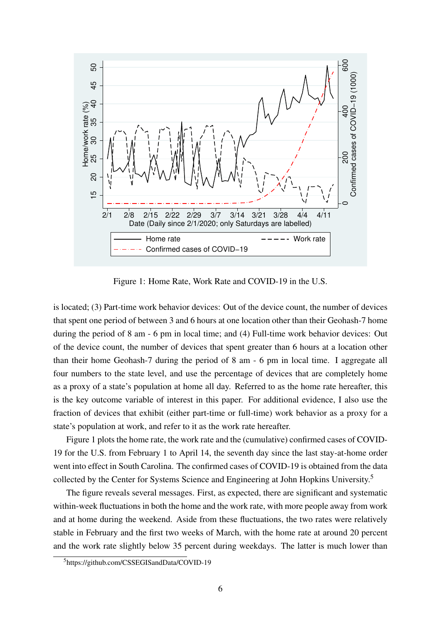

Figure 1: Home Rate, Work Rate and COVID-19 in the U.S.

is located; (3) Part-time work behavior devices: Out of the device count, the number of devices that spent one period of between 3 and 6 hours at one location other than their Geohash-7 home during the period of 8 am - 6 pm in local time; and (4) Full-time work behavior devices: Out of the device count, the number of devices that spent greater than 6 hours at a location other than their home Geohash-7 during the period of 8 am - 6 pm in local time. I aggregate all four numbers to the state level, and use the percentage of devices that are completely home as a proxy of a state's population at home all day. Referred to as the home rate hereafter, this is the key outcome variable of interest in this paper. For additional evidence, I also use the fraction of devices that exhibit (either part-time or full-time) work behavior as a proxy for a state's population at work, and refer to it as the work rate hereafter.

Figure 1 plots the home rate, the work rate and the (cumulative) confirmed cases of COVID-19 for the U.S. from February 1 to April 14, the seventh day since the last stay-at-home order went into effect in South Carolina. The confirmed cases of COVID-19 is obtained from the data collected by the Center for Systems Science and Engineering at John Hopkins University.<sup>5</sup>

The figure reveals several messages. First, as expected, there are significant and systematic within-week fluctuations in both the home and the work rate, with more people away from work and at home during the weekend. Aside from these fluctuations, the two rates were relatively stable in February and the first two weeks of March, with the home rate at around 20 percent and the work rate slightly below 35 percent during weekdays. The latter is much lower than

<sup>5</sup>https://github.com/CSSEGISandData/COVID-19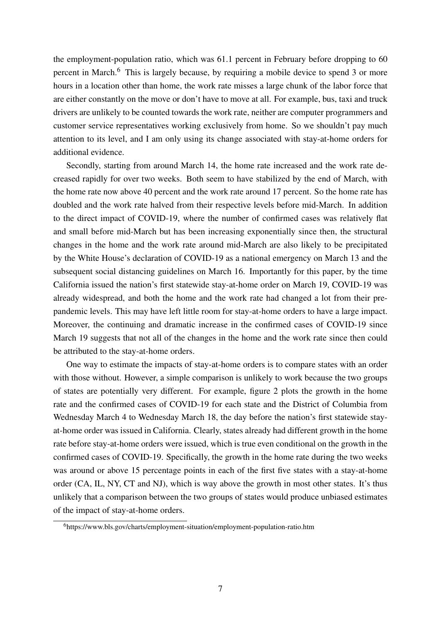the employment-population ratio, which was 61.1 percent in February before dropping to 60 percent in March.<sup>6</sup> This is largely because, by requiring a mobile device to spend 3 or more hours in a location other than home, the work rate misses a large chunk of the labor force that are either constantly on the move or don't have to move at all. For example, bus, taxi and truck drivers are unlikely to be counted towards the work rate, neither are computer programmers and customer service representatives working exclusively from home. So we shouldn't pay much attention to its level, and I am only using its change associated with stay-at-home orders for additional evidence.

Secondly, starting from around March 14, the home rate increased and the work rate decreased rapidly for over two weeks. Both seem to have stabilized by the end of March, with the home rate now above 40 percent and the work rate around 17 percent. So the home rate has doubled and the work rate halved from their respective levels before mid-March. In addition to the direct impact of COVID-19, where the number of confirmed cases was relatively flat and small before mid-March but has been increasing exponentially since then, the structural changes in the home and the work rate around mid-March are also likely to be precipitated by the White House's declaration of COVID-19 as a national emergency on March 13 and the subsequent social distancing guidelines on March 16. Importantly for this paper, by the time California issued the nation's first statewide stay-at-home order on March 19, COVID-19 was already widespread, and both the home and the work rate had changed a lot from their prepandemic levels. This may have left little room for stay-at-home orders to have a large impact. Moreover, the continuing and dramatic increase in the confirmed cases of COVID-19 since March 19 suggests that not all of the changes in the home and the work rate since then could be attributed to the stay-at-home orders.

One way to estimate the impacts of stay-at-home orders is to compare states with an order with those without. However, a simple comparison is unlikely to work because the two groups of states are potentially very different. For example, figure 2 plots the growth in the home rate and the confirmed cases of COVID-19 for each state and the District of Columbia from Wednesday March 4 to Wednesday March 18, the day before the nation's first statewide stayat-home order was issued in California. Clearly, states already had different growth in the home rate before stay-at-home orders were issued, which is true even conditional on the growth in the confirmed cases of COVID-19. Specifically, the growth in the home rate during the two weeks was around or above 15 percentage points in each of the first five states with a stay-at-home order (CA, IL, NY, CT and NJ), which is way above the growth in most other states. It's thus unlikely that a comparison between the two groups of states would produce unbiased estimates of the impact of stay-at-home orders.

<sup>6</sup>https://www.bls.gov/charts/employment-situation/employment-population-ratio.htm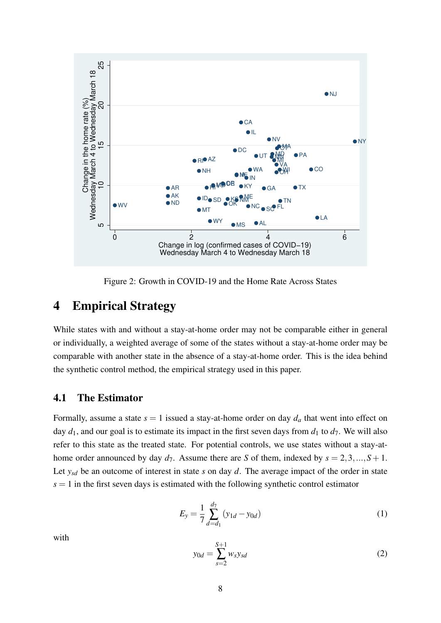

Figure 2: Growth in COVID-19 and the Home Rate Across States

### 4 Empirical Strategy

While states with and without a stay-at-home order may not be comparable either in general or individually, a weighted average of some of the states without a stay-at-home order may be comparable with another state in the absence of a stay-at-home order. This is the idea behind the synthetic control method, the empirical strategy used in this paper.

#### 4.1 The Estimator

Formally, assume a state  $s = 1$  issued a stay-at-home order on day  $d_a$  that went into effect on day  $d_1$ , and our goal is to estimate its impact in the first seven days from  $d_1$  to  $d_7$ . We will also refer to this state as the treated state. For potential controls, we use states without a stay-athome order announced by day  $d_7$ . Assume there are *S* of them, indexed by  $s = 2, 3, ..., S + 1$ . Let  $y_{sd}$  be an outcome of interest in state *s* on day *d*. The average impact of the order in state  $s = 1$  in the first seven days is estimated with the following synthetic control estimator

$$
E_y = \frac{1}{7} \sum_{d=d_1}^{d_7} (y_{1d} - y_{0d})
$$
 (1)

with

$$
y_{0d} = \sum_{s=2}^{S+1} w_s y_{sd}
$$
 (2)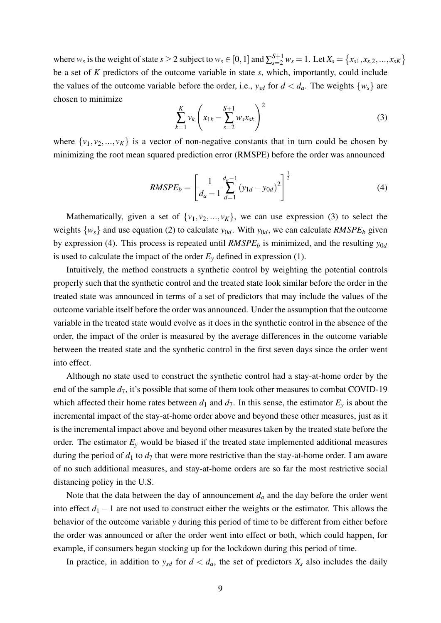where  $w_s$  is the weight of state  $s \ge 2$  subject to  $w_s \in [0, 1]$  and  $\sum_{s=2}^{S+1} w_s = 1$ . Let  $X_s = \{x_{s1}, x_{s,2}, ..., x_{sK}\}\$ be a set of *K* predictors of the outcome variable in state *s*, which, importantly, could include the values of the outcome variable before the order, i.e.,  $y_{sd}$  for  $d < d_a$ . The weights  $\{w_s\}$  are chosen to minimize

$$
\sum_{k=1}^{K} v_k \left( x_{1k} - \sum_{s=2}^{S+1} w_s x_{sk} \right)^2
$$
 (3)

where  $\{v_1, v_2, ..., v_K\}$  is a vector of non-negative constants that in turn could be chosen by minimizing the root mean squared prediction error (RMSPE) before the order was announced

$$
RMSPE_b = \left[\frac{1}{d_a - 1} \sum_{d=1}^{d_a - 1} (y_{1d} - y_{0d})^2\right]^{\frac{1}{2}}
$$
(4)

Mathematically, given a set of  $\{v_1, v_2, ..., v_K\}$ , we can use expression (3) to select the weights  $\{w_s\}$  and use equation (2) to calculate  $y_{0d}$ . With  $y_{0d}$ , we can calculate *RMSPE<sub>b</sub>* given by expression (4). This process is repeated until *RMSPE<sup>b</sup>* is minimized, and the resulting *y*0*<sup>d</sup>* is used to calculate the impact of the order  $E_y$  defined in expression (1).

Intuitively, the method constructs a synthetic control by weighting the potential controls properly such that the synthetic control and the treated state look similar before the order in the treated state was announced in terms of a set of predictors that may include the values of the outcome variable itself before the order was announced. Under the assumption that the outcome variable in the treated state would evolve as it does in the synthetic control in the absence of the order, the impact of the order is measured by the average differences in the outcome variable between the treated state and the synthetic control in the first seven days since the order went into effect.

Although no state used to construct the synthetic control had a stay-at-home order by the end of the sample  $d_7$ , it's possible that some of them took other measures to combat COVID-19 which affected their home rates between  $d_1$  and  $d_7$ . In this sense, the estimator  $E_y$  is about the incremental impact of the stay-at-home order above and beyond these other measures, just as it is the incremental impact above and beyond other measures taken by the treated state before the order. The estimator  $E_y$  would be biased if the treated state implemented additional measures during the period of  $d_1$  to  $d_7$  that were more restrictive than the stay-at-home order. I am aware of no such additional measures, and stay-at-home orders are so far the most restrictive social distancing policy in the U.S.

Note that the data between the day of announcement  $d_a$  and the day before the order went into effect  $d_1 - 1$  are not used to construct either the weights or the estimator. This allows the behavior of the outcome variable *y* during this period of time to be different from either before the order was announced or after the order went into effect or both, which could happen, for example, if consumers began stocking up for the lockdown during this period of time.

In practice, in addition to  $y_{sd}$  for  $d < d_a$ , the set of predictors  $X_s$  also includes the daily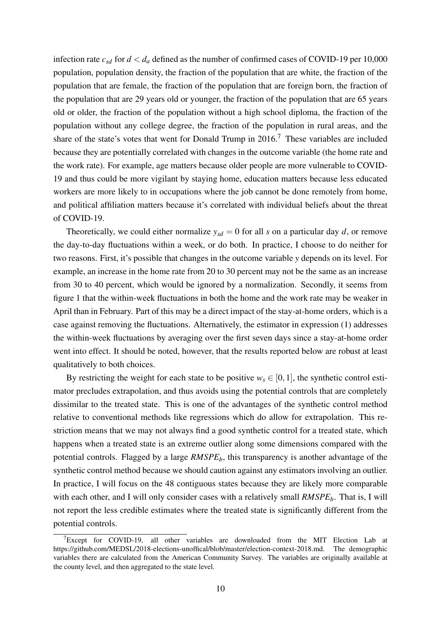infection rate  $c_{sd}$  for  $d < d_a$  defined as the number of confirmed cases of COVID-19 per 10,000 population, population density, the fraction of the population that are white, the fraction of the population that are female, the fraction of the population that are foreign born, the fraction of the population that are 29 years old or younger, the fraction of the population that are 65 years old or older, the fraction of the population without a high school diploma, the fraction of the population without any college degree, the fraction of the population in rural areas, and the share of the state's votes that went for Donald Trump in  $2016$ .<sup>7</sup> These variables are included because they are potentially correlated with changes in the outcome variable (the home rate and the work rate). For example, age matters because older people are more vulnerable to COVID-19 and thus could be more vigilant by staying home, education matters because less educated workers are more likely to in occupations where the job cannot be done remotely from home, and political affiliation matters because it's correlated with individual beliefs about the threat of COVID-19.

Theoretically, we could either normalize  $y_{sd} = 0$  for all *s* on a particular day *d*, or remove the day-to-day fluctuations within a week, or do both. In practice, I choose to do neither for two reasons. First, it's possible that changes in the outcome variable *y* depends on its level. For example, an increase in the home rate from 20 to 30 percent may not be the same as an increase from 30 to 40 percent, which would be ignored by a normalization. Secondly, it seems from figure 1 that the within-week fluctuations in both the home and the work rate may be weaker in April than in February. Part of this may be a direct impact of the stay-at-home orders, which is a case against removing the fluctuations. Alternatively, the estimator in expression (1) addresses the within-week fluctuations by averaging over the first seven days since a stay-at-home order went into effect. It should be noted, however, that the results reported below are robust at least qualitatively to both choices.

By restricting the weight for each state to be positive  $w_s \in [0,1]$ , the synthetic control estimator precludes extrapolation, and thus avoids using the potential controls that are completely dissimilar to the treated state. This is one of the advantages of the synthetic control method relative to conventional methods like regressions which do allow for extrapolation. This restriction means that we may not always find a good synthetic control for a treated state, which happens when a treated state is an extreme outlier along some dimensions compared with the potential controls. Flagged by a large *RMSPEb*, this transparency is another advantage of the synthetic control method because we should caution against any estimators involving an outlier. In practice, I will focus on the 48 contiguous states because they are likely more comparable with each other, and I will only consider cases with a relatively small *RMSPE<sub>b</sub>*. That is, I will not report the less credible estimates where the treated state is significantly different from the potential controls.

 $7E$ <sub>X</sub>Cept for COVID-19, all other variables are downloaded from the MIT Election Lab at https://github.com/MEDSL/2018-elections-unoffical/blob/master/election-context-2018.md. The demographic variables there are calculated from the American Community Survey. The variables are originally available at the county level, and then aggregated to the state level.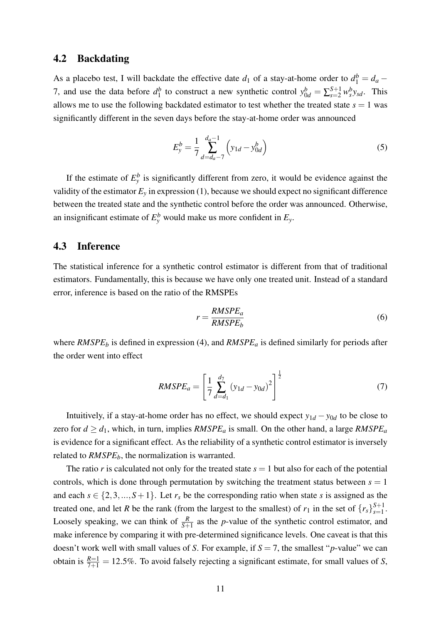#### 4.2 Backdating

As a placebo test, I will backdate the effective date  $d_1$  of a stay-at-home order to  $d_1^b = d_a -$ 7, and use the data before  $d_1^b$ <sup>*b*</sup><sub>1</sub> to construct a new synthetic control  $y_{0d}^b = \sum_{s=2}^{S+1} w_s^b y_{sd}$ . This allows me to use the following backdated estimator to test whether the treated state  $s = 1$  was significantly different in the seven days before the stay-at-home order was announced

$$
E_{y}^{b} = \frac{1}{7} \sum_{d=d_a-7}^{d_a-1} \left( y_{1d} - y_{0d}^{b} \right)
$$
 (5)

If the estimate of  $E_y^b$  is significantly different from zero, it would be evidence against the validity of the estimator  $E_y$  in expression (1), because we should expect no significant difference between the treated state and the synthetic control before the order was announced. Otherwise, an insignificant estimate of  $E_y^b$  would make us more confident in  $E_y$ .

#### 4.3 Inference

The statistical inference for a synthetic control estimator is different from that of traditional estimators. Fundamentally, this is because we have only one treated unit. Instead of a standard error, inference is based on the ratio of the RMSPEs

$$
r = \frac{RMSPE_a}{RMSPE_b} \tag{6}
$$

where *RMSPE<sup>b</sup>* is defined in expression (4), and *RMSPE<sup>a</sup>* is defined similarly for periods after the order went into effect

$$
RMSPE_a = \left[\frac{1}{7} \sum_{d=d_1}^{d_7} (y_{1d} - y_{0d})^2\right]^{\frac{1}{2}}
$$
(7)

Intuitively, if a stay-at-home order has no effect, we should expect  $y_{1d} - y_{0d}$  to be close to zero for  $d \geq d_1$ , which, in turn, implies  $RMSPE_a$  is small. On the other hand, a large  $RMSPE_a$ is evidence for a significant effect. As the reliability of a synthetic control estimator is inversely related to  $RMSPE<sub>b</sub>$ , the normalization is warranted.

The ratio *r* is calculated not only for the treated state  $s = 1$  but also for each of the potential controls, which is done through permutation by switching the treatment status between  $s = 1$ and each  $s \in \{2, 3, ..., S+1\}$ . Let  $r_s$  be the corresponding ratio when state *s* is assigned as the treated one, and let *R* be the rank (from the largest to the smallest) of  $r_1$  in the set of  $\{r_s\}_{s=1}^{S+1}$  $s=1$ . Loosely speaking, we can think of  $\frac{R}{S+1}$  as the *p*-value of the synthetic control estimator, and make inference by comparing it with pre-determined significance levels. One caveat is that this doesn't work well with small values of *S*. For example, if  $S = 7$ , the smallest "*p*-value" we can obtain is  $\frac{R=1}{7+1} = 12.5\%$ . To avoid falsely rejecting a significant estimate, for small values of *S*,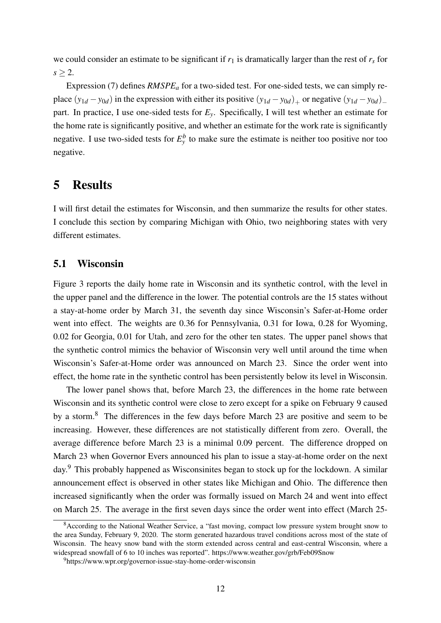we could consider an estimate to be significant if  $r_1$  is dramatically larger than the rest of  $r_s$  for  $s > 2$ .

Expression (7) defines *RMSPE<sub>a</sub>* for a two-sided test. For one-sided tests, we can simply replace  $(y_{1d} - y_{0d})$  in the expression with either its positive  $(y_{1d} - y_{0d})_+$  or negative  $(y_{1d} - y_{0d})_$ part. In practice, I use one-sided tests for  $E<sub>y</sub>$ . Specifically, I will test whether an estimate for the home rate is significantly positive, and whether an estimate for the work rate is significantly negative. I use two-sided tests for  $E_y^b$  to make sure the estimate is neither too positive nor too negative.

### 5 Results

I will first detail the estimates for Wisconsin, and then summarize the results for other states. I conclude this section by comparing Michigan with Ohio, two neighboring states with very different estimates.

#### 5.1 Wisconsin

Figure 3 reports the daily home rate in Wisconsin and its synthetic control, with the level in the upper panel and the difference in the lower. The potential controls are the 15 states without a stay-at-home order by March 31, the seventh day since Wisconsin's Safer-at-Home order went into effect. The weights are 0.36 for Pennsylvania, 0.31 for Iowa, 0.28 for Wyoming, 0.02 for Georgia, 0.01 for Utah, and zero for the other ten states. The upper panel shows that the synthetic control mimics the behavior of Wisconsin very well until around the time when Wisconsin's Safer-at-Home order was announced on March 23. Since the order went into effect, the home rate in the synthetic control has been persistently below its level in Wisconsin.

The lower panel shows that, before March 23, the differences in the home rate between Wisconsin and its synthetic control were close to zero except for a spike on February 9 caused by a storm.<sup>8</sup> The differences in the few days before March 23 are positive and seem to be increasing. However, these differences are not statistically different from zero. Overall, the average difference before March 23 is a minimal 0.09 percent. The difference dropped on March 23 when Governor Evers announced his plan to issue a stay-at-home order on the next day.<sup>9</sup> This probably happened as Wisconsinites began to stock up for the lockdown. A similar announcement effect is observed in other states like Michigan and Ohio. The difference then increased significantly when the order was formally issued on March 24 and went into effect on March 25. The average in the first seven days since the order went into effect (March 25-

<sup>&</sup>lt;sup>8</sup> According to the National Weather Service, a "fast moving, compact low pressure system brought snow to the area Sunday, February 9, 2020. The storm generated hazardous travel conditions across most of the state of Wisconsin. The heavy snow band with the storm extended across central and east-central Wisconsin, where a widespread snowfall of 6 to 10 inches was reported". https://www.weather.gov/grb/Feb09Snow

<sup>9</sup>https://www.wpr.org/governor-issue-stay-home-order-wisconsin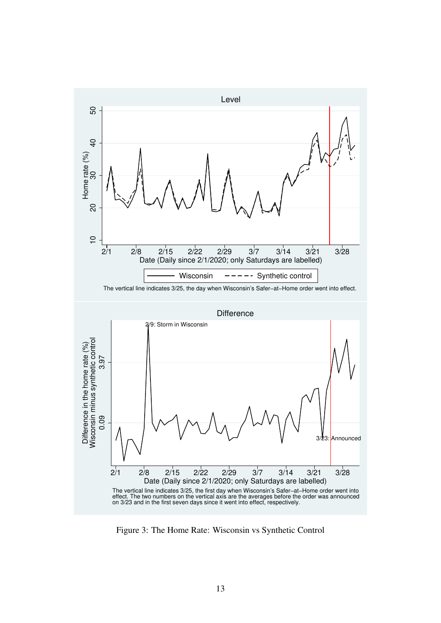

The vertical line indicates 3/25, the day when Wisconsin's Safer−at−Home order went into effect.



Figure 3: The Home Rate: Wisconsin vs Synthetic Control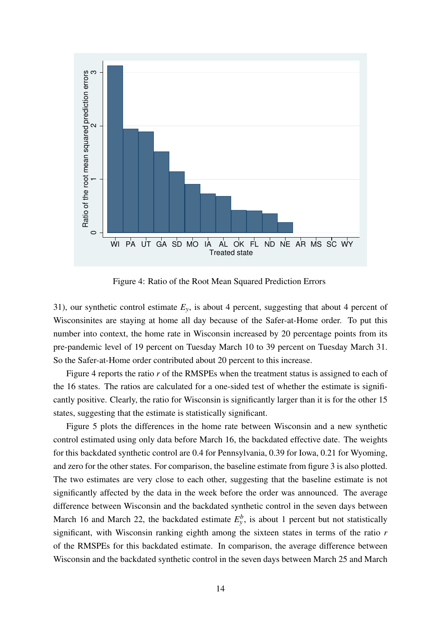

Figure 4: Ratio of the Root Mean Squared Prediction Errors

31), our synthetic control estimate  $E_y$ , is about 4 percent, suggesting that about 4 percent of Wisconsinites are staying at home all day because of the Safer-at-Home order. To put this number into context, the home rate in Wisconsin increased by 20 percentage points from its pre-pandemic level of 19 percent on Tuesday March 10 to 39 percent on Tuesday March 31. So the Safer-at-Home order contributed about 20 percent to this increase.

Figure 4 reports the ratio *r* of the RMSPEs when the treatment status is assigned to each of the 16 states. The ratios are calculated for a one-sided test of whether the estimate is significantly positive. Clearly, the ratio for Wisconsin is significantly larger than it is for the other 15 states, suggesting that the estimate is statistically significant.

Figure 5 plots the differences in the home rate between Wisconsin and a new synthetic control estimated using only data before March 16, the backdated effective date. The weights for this backdated synthetic control are 0.4 for Pennsylvania, 0.39 for Iowa, 0.21 for Wyoming, and zero for the other states. For comparison, the baseline estimate from figure 3 is also plotted. The two estimates are very close to each other, suggesting that the baseline estimate is not significantly affected by the data in the week before the order was announced. The average difference between Wisconsin and the backdated synthetic control in the seven days between March 16 and March 22, the backdated estimate  $E_y^b$ , is about 1 percent but not statistically significant, with Wisconsin ranking eighth among the sixteen states in terms of the ratio *r* of the RMSPEs for this backdated estimate. In comparison, the average difference between Wisconsin and the backdated synthetic control in the seven days between March 25 and March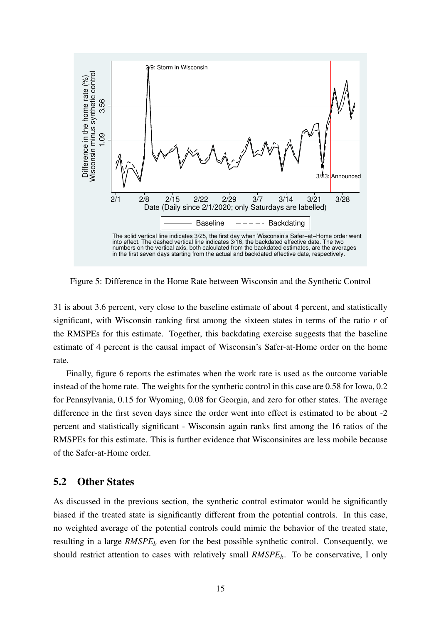

Figure 5: Difference in the Home Rate between Wisconsin and the Synthetic Control

31 is about 3.6 percent, very close to the baseline estimate of about 4 percent, and statistically significant, with Wisconsin ranking first among the sixteen states in terms of the ratio *r* of the RMSPEs for this estimate. Together, this backdating exercise suggests that the baseline estimate of 4 percent is the causal impact of Wisconsin's Safer-at-Home order on the home rate.

Finally, figure 6 reports the estimates when the work rate is used as the outcome variable instead of the home rate. The weights for the synthetic control in this case are 0.58 for Iowa, 0.2 for Pennsylvania, 0.15 for Wyoming, 0.08 for Georgia, and zero for other states. The average difference in the first seven days since the order went into effect is estimated to be about -2 percent and statistically significant - Wisconsin again ranks first among the 16 ratios of the RMSPEs for this estimate. This is further evidence that Wisconsinites are less mobile because of the Safer-at-Home order.

#### 5.2 Other States

As discussed in the previous section, the synthetic control estimator would be significantly biased if the treated state is significantly different from the potential controls. In this case, no weighted average of the potential controls could mimic the behavior of the treated state, resulting in a large *RMSPE<sub>b</sub>* even for the best possible synthetic control. Consequently, we should restrict attention to cases with relatively small *RMSPE<sub>b</sub>*. To be conservative, I only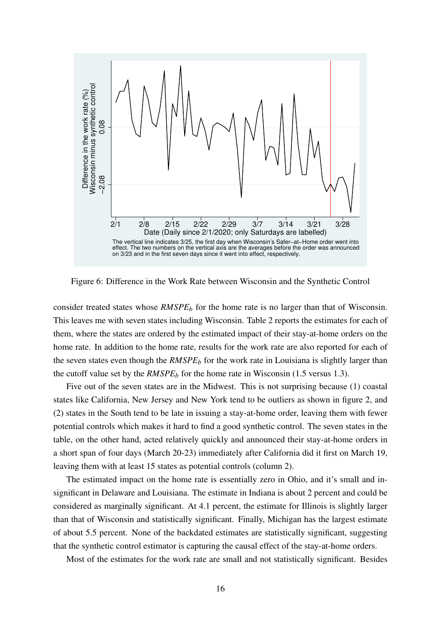

Figure 6: Difference in the Work Rate between Wisconsin and the Synthetic Control

consider treated states whose *RMSPE<sub>b</sub>* for the home rate is no larger than that of Wisconsin. This leaves me with seven states including Wisconsin. Table 2 reports the estimates for each of them, where the states are ordered by the estimated impact of their stay-at-home orders on the home rate. In addition to the home rate, results for the work rate are also reported for each of the seven states even though the *RMSPE<sup>b</sup>* for the work rate in Louisiana is slightly larger than the cutoff value set by the  $RMSPE<sub>b</sub>$  for the home rate in Wisconsin (1.5 versus 1.3).

Five out of the seven states are in the Midwest. This is not surprising because (1) coastal states like California, New Jersey and New York tend to be outliers as shown in figure 2, and (2) states in the South tend to be late in issuing a stay-at-home order, leaving them with fewer potential controls which makes it hard to find a good synthetic control. The seven states in the table, on the other hand, acted relatively quickly and announced their stay-at-home orders in a short span of four days (March 20-23) immediately after California did it first on March 19, leaving them with at least 15 states as potential controls (column 2).

The estimated impact on the home rate is essentially zero in Ohio, and it's small and insignificant in Delaware and Louisiana. The estimate in Indiana is about 2 percent and could be considered as marginally significant. At 4.1 percent, the estimate for Illinois is slightly larger than that of Wisconsin and statistically significant. Finally, Michigan has the largest estimate of about 5.5 percent. None of the backdated estimates are statistically significant, suggesting that the synthetic control estimator is capturing the causal effect of the stay-at-home orders.

Most of the estimates for the work rate are small and not statistically significant. Besides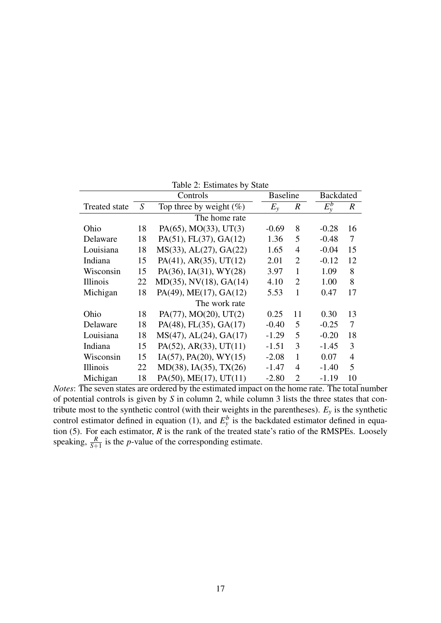| Table 2: Estimates by State |    |                                  |                 |                  |         |                  |  |  |  |
|-----------------------------|----|----------------------------------|-----------------|------------------|---------|------------------|--|--|--|
|                             |    | Controls                         | <b>Baseline</b> |                  |         | <b>Backdated</b> |  |  |  |
| <b>Treated state</b>        | S  | Top three by weight $(\%)$       | $E_{\rm v}$     | $\boldsymbol{R}$ | $E_v^b$ | R                |  |  |  |
| The home rate               |    |                                  |                 |                  |         |                  |  |  |  |
| Ohio                        | 18 | $PA(65)$ , MO(33), UT(3)         | $-0.69$         | 8                | $-0.28$ | 16               |  |  |  |
| Delaware                    | 18 | $PA(51)$ , $FL(37)$ , $GA(12)$   | 1.36            | 5                | $-0.48$ | 7                |  |  |  |
| Louisiana                   | 18 | MS(33), AL(27), GA(22)           | 1.65            | 4                | $-0.04$ | 15               |  |  |  |
| Indiana                     | 15 | $PA(41)$ , $AR(35)$ , $UT(12)$   | 2.01            | $\overline{2}$   | $-0.12$ | 12               |  |  |  |
| Wisconsin                   | 15 | PA(36), IA(31), WY(28)           | 3.97            | 1                | 1.09    | 8                |  |  |  |
| Illinois                    | 22 | $MD(35)$ , $NV(18)$ , $GA(14)$   | 4.10            | $\overline{2}$   | 1.00    | 8                |  |  |  |
| Michigan                    | 18 | PA(49), ME(17), GA(12)           | 5.53            | 1                | 0.47    | 17               |  |  |  |
| The work rate               |    |                                  |                 |                  |         |                  |  |  |  |
| Ohio                        | 18 | $PA(77)$ , MO(20), UT(2)         | 0.25            | 11               | 0.30    | 13               |  |  |  |
| Delaware                    | 18 | $PA(48)$ , FL $(35)$ , GA $(17)$ | $-0.40$         | 5                | $-0.25$ | 7                |  |  |  |
| Louisiana                   | 18 | $MS(47)$ , AL $(24)$ , GA $(17)$ | $-1.29$         | 5                | $-0.20$ | 18               |  |  |  |
| Indiana                     | 15 | $PA(52)$ , AR $(33)$ , UT $(11)$ | $-1.51$         | 3                | $-1.45$ | 3                |  |  |  |
| Wisconsin                   | 15 | $IA(57)$ , $PA(20)$ , $WY(15)$   | $-2.08$         | 1                | 0.07    | $\overline{4}$   |  |  |  |
| Illinois                    | 22 | MD(38), IA(35), TX(26)           | $-1.47$         | 4                | $-1.40$ | 5                |  |  |  |
| Michigan                    | 18 | $PA(50)$ , ME $(17)$ , UT $(11)$ | $-2.80$         | $\overline{2}$   | $-1.19$ | 10               |  |  |  |

Table 2: Estimates by State

*Notes*: The seven states are ordered by the estimated impact on the home rate. The total number of potential controls is given by *S* in column 2, while column 3 lists the three states that contribute most to the synthetic control (with their weights in the parentheses). *E<sup>y</sup>* is the synthetic control estimator defined in equation (1), and  $E_y^b$  is the backdated estimator defined in equation (5). For each estimator, *R* is the rank of the treated state's ratio of the RMSPEs. Loosely speaking,  $\frac{R}{S+1}$  is the *p*-value of the corresponding estimate.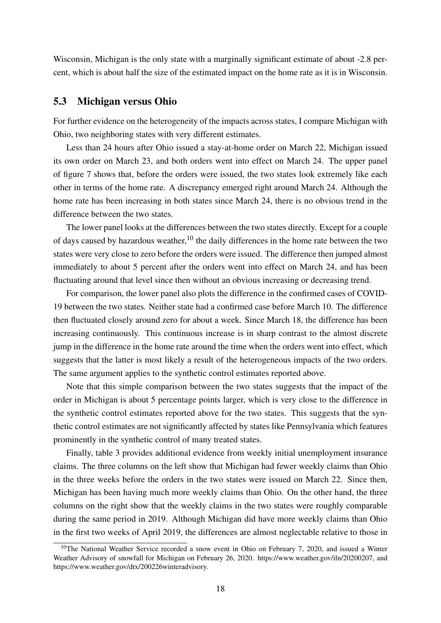Wisconsin, Michigan is the only state with a marginally significant estimate of about -2.8 percent, which is about half the size of the estimated impact on the home rate as it is in Wisconsin.

#### 5.3 Michigan versus Ohio

For further evidence on the heterogeneity of the impacts across states, I compare Michigan with Ohio, two neighboring states with very different estimates.

Less than 24 hours after Ohio issued a stay-at-home order on March 22, Michigan issued its own order on March 23, and both orders went into effect on March 24. The upper panel of figure 7 shows that, before the orders were issued, the two states look extremely like each other in terms of the home rate. A discrepancy emerged right around March 24. Although the home rate has been increasing in both states since March 24, there is no obvious trend in the difference between the two states.

The lower panel looks at the differences between the two states directly. Except for a couple of days caused by hazardous weather, $10$  the daily differences in the home rate between the two states were very close to zero before the orders were issued. The difference then jumped almost immediately to about 5 percent after the orders went into effect on March 24, and has been fluctuating around that level since then without an obvious increasing or decreasing trend.

For comparison, the lower panel also plots the difference in the confirmed cases of COVID-19 between the two states. Neither state had a confirmed case before March 10. The difference then fluctuated closely around zero for about a week. Since March 18, the difference has been increasing continuously. This continuous increase is in sharp contrast to the almost discrete jump in the difference in the home rate around the time when the orders went into effect, which suggests that the latter is most likely a result of the heterogeneous impacts of the two orders. The same argument applies to the synthetic control estimates reported above.

Note that this simple comparison between the two states suggests that the impact of the order in Michigan is about 5 percentage points larger, which is very close to the difference in the synthetic control estimates reported above for the two states. This suggests that the synthetic control estimates are not significantly affected by states like Pennsylvania which features prominently in the synthetic control of many treated states.

Finally, table 3 provides additional evidence from weekly initial unemployment insurance claims. The three columns on the left show that Michigan had fewer weekly claims than Ohio in the three weeks before the orders in the two states were issued on March 22. Since then, Michigan has been having much more weekly claims than Ohio. On the other hand, the three columns on the right show that the weekly claims in the two states were roughly comparable during the same period in 2019. Although Michigan did have more weekly claims than Ohio in the first two weeks of April 2019, the differences are almost neglectable relative to those in

 $10$ The National Weather Service recorded a snow event in Ohio on February 7, 2020, and issued a Winter Weather Advisory of snowfall for Michigan on February 26, 2020. https://www.weather.gov/iln/20200207, and https://www.weather.gov/dtx/200226winteradvisory.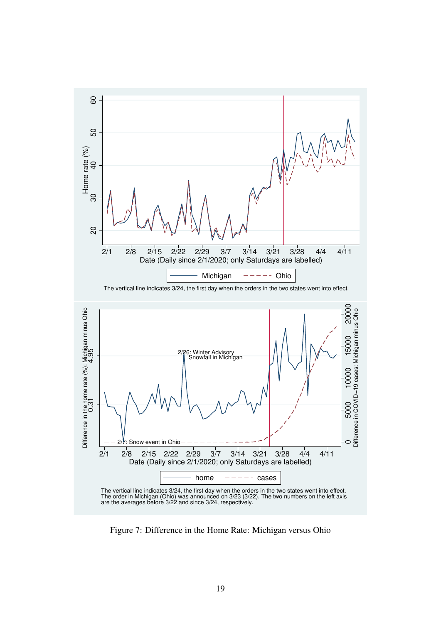

Figure 7: Difference in the Home Rate: Michigan versus Ohio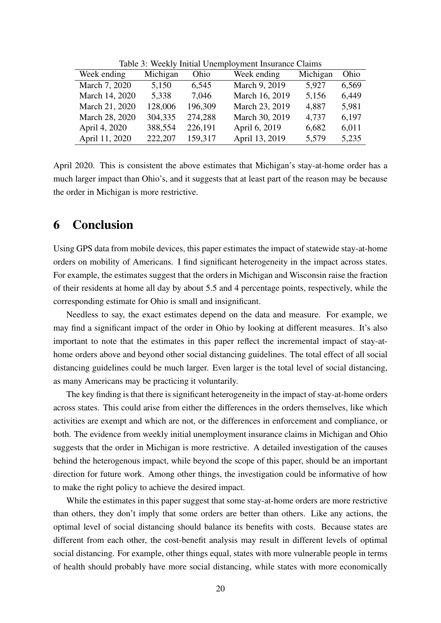| Week ending    | Michigan | Ohio    | Week ending    | Michigan | Ohio  |
|----------------|----------|---------|----------------|----------|-------|
| March 7, 2020  | 5,150    | 6,545   | March 9, 2019  | 5,927    | 6,569 |
| March 14, 2020 | 5,338    | 7,046   | March 16, 2019 | 5,156    | 6,449 |
| March 21, 2020 | 128,006  | 196,309 | March 23, 2019 | 4,887    | 5,981 |
| March 28, 2020 | 304,335  | 274,288 | March 30, 2019 | 4,737    | 6,197 |
| April 4, 2020  | 388,554  | 226,191 | April 6, 2019  | 6,682    | 6,011 |
| April 11, 2020 | 222,207  | 159,317 | April 13, 2019 | 5,579    | 5,235 |
|                |          |         |                |          |       |

Table 3: Weekly Initial Unemployment Insurance Claims

April 2020. This is consistent the above estimates that Michigan's stay-at-home order has a much larger impact than Ohio's, and it suggests that at least part of the reason may be because the order in Michigan is more restrictive.

### 6 Conclusion

Using GPS data from mobile devices, this paper estimates the impact of statewide stay-at-home orders on mobility of Americans. I find significant heterogeneity in the impact across states. For example, the estimates suggest that the orders in Michigan and Wisconsin raise the fraction of their residents at home all day by about 5.5 and 4 percentage points, respectively, while the corresponding estimate for Ohio is small and insignificant.

Needless to say, the exact estimates depend on the data and measure. For example, we may find a significant impact of the order in Ohio by looking at different measures. It's also important to note that the estimates in this paper reflect the incremental impact of stay-athome orders above and beyond other social distancing guidelines. The total effect of all social distancing guidelines could be much larger. Even larger is the total level of social distancing, as many Americans may be practicing it voluntarily.

The key finding is that there is significant heterogeneity in the impact of stay-at-home orders across states. This could arise from either the differences in the orders themselves, like which activities are exempt and which are not, or the differences in enforcement and compliance, or both. The evidence from weekly initial unemployment insurance claims in Michigan and Ohio suggests that the order in Michigan is more restrictive. A detailed investigation of the causes behind the heterogenous impact, while beyond the scope of this paper, should be an important direction for future work. Among other things, the investigation could be informative of how to make the right policy to achieve the desired impact.

While the estimates in this paper suggest that some stay-at-home orders are more restrictive than others, they don't imply that some orders are better than others. Like any actions, the optimal level of social distancing should balance its benefits with costs. Because states are different from each other, the cost-benefit analysis may result in different levels of optimal social distancing. For example, other things equal, states with more vulnerable people in terms of health should probably have more social distancing, while states with more economically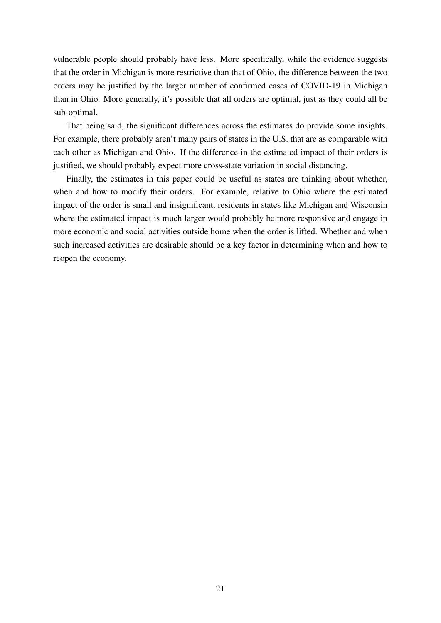vulnerable people should probably have less. More specifically, while the evidence suggests that the order in Michigan is more restrictive than that of Ohio, the difference between the two orders may be justified by the larger number of confirmed cases of COVID-19 in Michigan than in Ohio. More generally, it's possible that all orders are optimal, just as they could all be sub-optimal.

That being said, the significant differences across the estimates do provide some insights. For example, there probably aren't many pairs of states in the U.S. that are as comparable with each other as Michigan and Ohio. If the difference in the estimated impact of their orders is justified, we should probably expect more cross-state variation in social distancing.

Finally, the estimates in this paper could be useful as states are thinking about whether, when and how to modify their orders. For example, relative to Ohio where the estimated impact of the order is small and insignificant, residents in states like Michigan and Wisconsin where the estimated impact is much larger would probably be more responsive and engage in more economic and social activities outside home when the order is lifted. Whether and when such increased activities are desirable should be a key factor in determining when and how to reopen the economy.